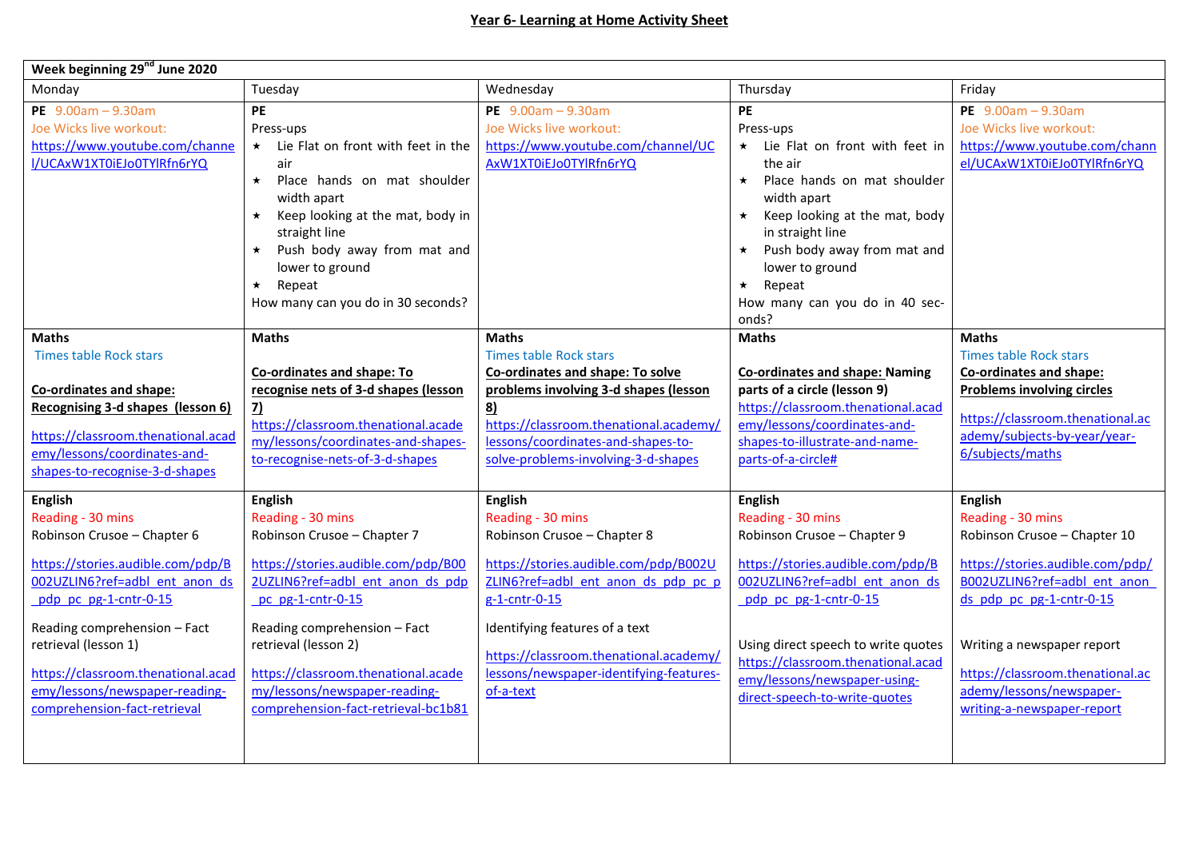| Week beginning 29 <sup>nd</sup> June 2020                                                                                                                                                                                                                                                                                          |                                                                                                                                                                                                                                                                                                                                    |                                                                                                                                                                                                                                                                                                  |                                                                                                                                                                                                                                                                                                                  |                                                                                                                                                                                                                                                                                                 |
|------------------------------------------------------------------------------------------------------------------------------------------------------------------------------------------------------------------------------------------------------------------------------------------------------------------------------------|------------------------------------------------------------------------------------------------------------------------------------------------------------------------------------------------------------------------------------------------------------------------------------------------------------------------------------|--------------------------------------------------------------------------------------------------------------------------------------------------------------------------------------------------------------------------------------------------------------------------------------------------|------------------------------------------------------------------------------------------------------------------------------------------------------------------------------------------------------------------------------------------------------------------------------------------------------------------|-------------------------------------------------------------------------------------------------------------------------------------------------------------------------------------------------------------------------------------------------------------------------------------------------|
| Monday                                                                                                                                                                                                                                                                                                                             | Tuesday                                                                                                                                                                                                                                                                                                                            | Wednesday                                                                                                                                                                                                                                                                                        | Thursday                                                                                                                                                                                                                                                                                                         | Friday                                                                                                                                                                                                                                                                                          |
| PE $9.00am - 9.30am$<br>Joe Wicks live workout:<br>https://www.youtube.com/channe<br>I/UCAxW1XT0iEJo0TYlRfn6rYQ                                                                                                                                                                                                                    | <b>PE</b><br>Press-ups<br>* Lie Flat on front with feet in the<br>air<br>$\star$<br>Place hands on mat shoulder<br>width apart<br>Keep looking at the mat, body in<br>$\star$<br>straight line<br>Push body away from mat and<br>$\star$<br>lower to ground<br>Repeat<br>$\star$<br>How many can you do in 30 seconds?             | PE $9.00am - 9.30am$<br>Joe Wicks live workout:<br>https://www.youtube.com/channel/UC<br>AxW1XT0iEJo0TYlRfn6rYQ                                                                                                                                                                                  | <b>PE</b><br>Press-ups<br>* Lie Flat on front with feet in<br>the air<br>Place hands on mat shoulder<br>$\star$<br>width apart<br>Keep looking at the mat, body<br>$\star$<br>in straight line<br>Push body away from mat and<br>lower to ground<br>Repeat<br>$\star$<br>How many can you do in 40 sec-<br>onds? | PE $9.00am - 9.30am$<br>Joe Wicks live workout:<br>https://www.youtube.com/chann<br>el/UCAxW1XT0iEJo0TYlRfn6rYQ                                                                                                                                                                                 |
| <b>Maths</b><br><b>Times table Rock stars</b><br>Co-ordinates and shape:<br>Recognising 3-d shapes (lesson 6)<br>https://classroom.thenational.acad<br>emy/lessons/coordinates-and-<br>shapes-to-recognise-3-d-shapes                                                                                                              | <b>Maths</b><br>Co-ordinates and shape: To<br>recognise nets of 3-d shapes (lesson<br>$\overline{2}$<br>https://classroom.thenational.acade<br>my/lessons/coordinates-and-shapes-<br>to-recognise-nets-of-3-d-shapes                                                                                                               | <b>Maths</b><br><b>Times table Rock stars</b><br>Co-ordinates and shape: To solve<br>problems involving 3-d shapes (lesson<br>8)<br>https://classroom.thenational.academy/<br>lessons/coordinates-and-shapes-to-<br>solve-problems-involving-3-d-shapes                                          | <b>Maths</b><br><b>Co-ordinates and shape: Naming</b><br>parts of a circle (lesson 9)<br>https://classroom.thenational.acad<br>emy/lessons/coordinates-and-<br>shapes-to-illustrate-and-name-<br>parts-of-a-circle#                                                                                              | <b>Maths</b><br><b>Times table Rock stars</b><br>Co-ordinates and shape:<br><b>Problems involving circles</b><br>https://classroom.thenational.ac<br>ademy/subjects-by-year/year-<br>6/subjects/maths                                                                                           |
| <b>English</b><br>Reading - 30 mins<br>Robinson Crusoe - Chapter 6<br>https://stories.audible.com/pdp/B<br>002UZLIN6?ref=adbl ent anon ds<br>pdp pc pg-1-cntr-0-15<br>Reading comprehension - Fact<br>retrieval (lesson 1)<br>https://classroom.thenational.acad<br>emy/lessons/newspaper-reading-<br>comprehension-fact-retrieval | English<br>Reading - 30 mins<br>Robinson Crusoe - Chapter 7<br>https://stories.audible.com/pdp/B00<br>2UZLIN6?ref=adbl_ent_anon_ds_pdp<br>pc pg-1-cntr-0-15<br>Reading comprehension - Fact<br>retrieval (lesson 2)<br>https://classroom.thenational.acade<br>my/lessons/newspaper-reading-<br>comprehension-fact-retrieval-bc1b81 | English<br>Reading - 30 mins<br>Robinson Crusoe - Chapter 8<br>https://stories.audible.com/pdp/B002U<br>ZLIN6?ref=adbl ent anon ds pdp pc p<br>g-1-cntr-0-15<br>Identifying features of a text<br>https://classroom.thenational.academy/<br>lessons/newspaper-identifying-features-<br>of-a-text | <b>English</b><br>Reading - 30 mins<br>Robinson Crusoe - Chapter 9<br>https://stories.audible.com/pdp/B<br>002UZLIN6?ref=adbl ent anon ds<br>pdp pc pg-1-cntr-0-15<br>Using direct speech to write quotes<br>https://classroom.thenational.acad<br>emy/lessons/newspaper-using-<br>direct-speech-to-write-quotes | <b>English</b><br>Reading - 30 mins<br>Robinson Crusoe - Chapter 10<br>https://stories.audible.com/pdp/<br>B002UZLIN6?ref=adbl ent anon<br>ds pdp pc pg-1-cntr-0-15<br>Writing a newspaper report<br>https://classroom.thenational.ac<br>ademy/lessons/newspaper-<br>writing-a-newspaper-report |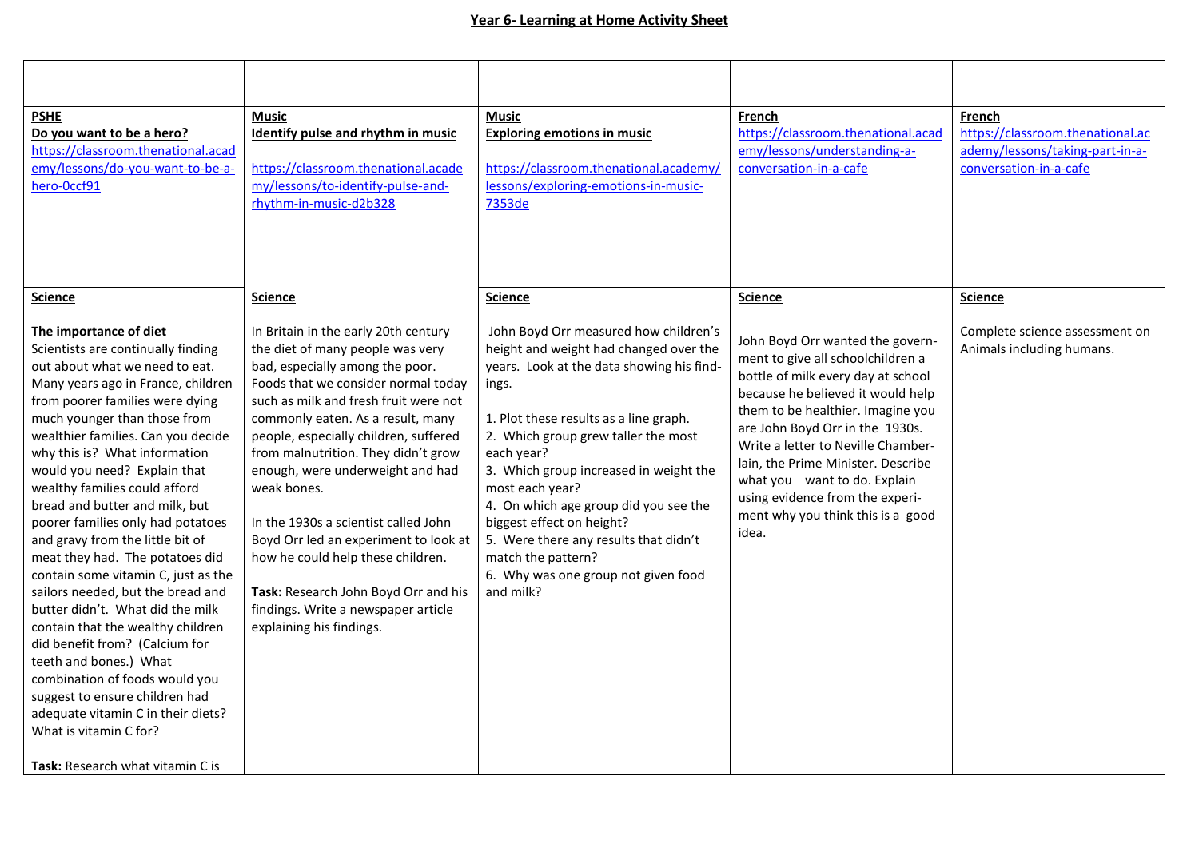| <b>PSHE</b><br>Do you want to be a hero?<br>https://classroom.thenational.acad<br>emy/lessons/do-you-want-to-be-a-                                                                                                                                                                                                                                                                                                                                                                                                                                                                                                                                                                                                                                                                                                                                                                                       | Music<br>Identify pulse and rhythm in music<br>https://classroom.thenational.acade                                                                                                                                                                                                                                                                                                                                                                                                                                                                                                                                     | <b>Music</b><br><b>Exploring emotions in music</b><br>https://classroom.thenational.academy/                                                                                                                                                                                                                                                                                                                                                                                                                 | French<br>https://classroom.thenational.acad<br>emy/lessons/understanding-a-<br>conversation-in-a-cafe                                                                                                                                                                                                                                                                                                                                  | French<br>https://classroom.thenational.ac<br>ademy/lessons/taking-part-in-a-<br>conversation-in-a-cafe |
|----------------------------------------------------------------------------------------------------------------------------------------------------------------------------------------------------------------------------------------------------------------------------------------------------------------------------------------------------------------------------------------------------------------------------------------------------------------------------------------------------------------------------------------------------------------------------------------------------------------------------------------------------------------------------------------------------------------------------------------------------------------------------------------------------------------------------------------------------------------------------------------------------------|------------------------------------------------------------------------------------------------------------------------------------------------------------------------------------------------------------------------------------------------------------------------------------------------------------------------------------------------------------------------------------------------------------------------------------------------------------------------------------------------------------------------------------------------------------------------------------------------------------------------|--------------------------------------------------------------------------------------------------------------------------------------------------------------------------------------------------------------------------------------------------------------------------------------------------------------------------------------------------------------------------------------------------------------------------------------------------------------------------------------------------------------|-----------------------------------------------------------------------------------------------------------------------------------------------------------------------------------------------------------------------------------------------------------------------------------------------------------------------------------------------------------------------------------------------------------------------------------------|---------------------------------------------------------------------------------------------------------|
| hero-Occf91                                                                                                                                                                                                                                                                                                                                                                                                                                                                                                                                                                                                                                                                                                                                                                                                                                                                                              | my/lessons/to-identify-pulse-and-<br>rhythm-in-music-d2b328                                                                                                                                                                                                                                                                                                                                                                                                                                                                                                                                                            | lessons/exploring-emotions-in-music-<br>7353de                                                                                                                                                                                                                                                                                                                                                                                                                                                               |                                                                                                                                                                                                                                                                                                                                                                                                                                         |                                                                                                         |
| <b>Science</b><br>The importance of diet<br>Scientists are continually finding<br>out about what we need to eat.<br>Many years ago in France, children<br>from poorer families were dying<br>much younger than those from<br>wealthier families. Can you decide<br>why this is? What information<br>would you need? Explain that<br>wealthy families could afford<br>bread and butter and milk, but<br>poorer families only had potatoes<br>and gravy from the little bit of<br>meat they had. The potatoes did<br>contain some vitamin C, just as the<br>sailors needed, but the bread and<br>butter didn't. What did the milk<br>contain that the wealthy children<br>did benefit from? (Calcium for<br>teeth and bones.) What<br>combination of foods would you<br>suggest to ensure children had<br>adequate vitamin C in their diets?<br>What is vitamin C for?<br>Task: Research what vitamin C is | <b>Science</b><br>In Britain in the early 20th century<br>the diet of many people was very<br>bad, especially among the poor.<br>Foods that we consider normal today<br>such as milk and fresh fruit were not<br>commonly eaten. As a result, many<br>people, especially children, suffered<br>from malnutrition. They didn't grow<br>enough, were underweight and had<br>weak bones.<br>In the 1930s a scientist called John<br>Boyd Orr led an experiment to look at<br>how he could help these children.<br>Task: Research John Boyd Orr and his<br>findings. Write a newspaper article<br>explaining his findings. | <b>Science</b><br>John Boyd Orr measured how children's<br>height and weight had changed over the<br>years. Look at the data showing his find-<br>ings.<br>1. Plot these results as a line graph.<br>2. Which group grew taller the most<br>each year?<br>3. Which group increased in weight the<br>most each year?<br>4. On which age group did you see the<br>biggest effect on height?<br>5. Were there any results that didn't<br>match the pattern?<br>6. Why was one group not given food<br>and milk? | <b>Science</b><br>John Boyd Orr wanted the govern-<br>ment to give all schoolchildren a<br>bottle of milk every day at school<br>because he believed it would help<br>them to be healthier. Imagine you<br>are John Boyd Orr in the 1930s.<br>Write a letter to Neville Chamber-<br>lain, the Prime Minister. Describe<br>what you want to do. Explain<br>using evidence from the experi-<br>ment why you think this is a good<br>idea. | <b>Science</b><br>Complete science assessment on<br>Animals including humans.                           |